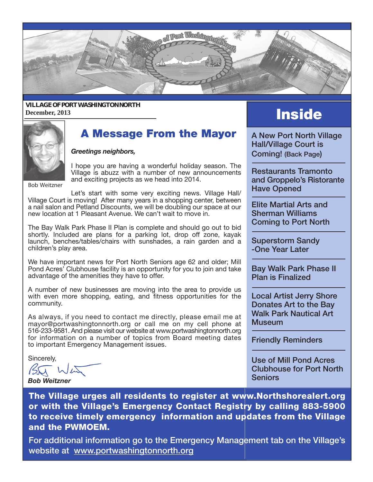

#### **VILLAGE OF PORT WASHINGTON NORTH** December, 2013 **Inside**



#### **A Message From the Mayor** A New Port North Village

*Greetings neighbors,*

I hope you are having a wonderful holiday season. The Village is abuzz with a number of new announcements and exciting projects as we head into 2014.

Bob Weitzner

Let's start with some very exciting news. Village Hall/ Village Court is moving! After many years in a shopping center, between a nail salon and Petland Discounts, we will be doubling our space at our new location at 1 Pleasant Avenue. We can't wait to move in.

 The Bay Walk Park Phase II Plan is complete and should go out to bid shortly. Included are plans for a parking lot, drop off zone, kayak launch, benches/tables/chairs with sunshades, a rain garden and a children's play area.

 We have important news for Port North Seniors age 62 and older; Mill Pond Acres' Clubhouse facility is an opportunity for you to join and take advantage of the amenities they have to offer.

 A number of new businesses are moving into the area to provide us with even more shopping, eating, and fitness opportunities for the community.

As always, if you need to contact me directly, please email me at mayor@portwashingtonnorth.org or call me on my cell phone at 516-233-9581. And please visit our website at www.portwashingtonnorth.org for information on a number of topics from Board meeting dates to important Emergency Management issues.

Sincerely,

*Bob Weitzner*

Hall/Village Court is Coming! (Back Page)

Restaurants Tramonto and Groppelo's Ristorante Have Opened

Elite Martial Arts and Sherman Williams Coming to Port North

Superstorm Sandy -One Year Later

Bay Walk Park Phase II Plan is Finalized

Local Artist Jerry Shore Donates Art to the Bay Walk Park Nautical Art **Museum** 

Friendly Reminders

Use of Mill Pond Acres Clubhouse for Port North **Seniors** 

The Village urges all residents to register at www.Northshorealert.org or with the Village's Emergency Contact Registry by calling 883-5900 to receive timely emergency information and updates from the Village and the PWMOEM.

For additional information go to the Emergency Management tab on the Village's website at www.portwashingtonnorth.org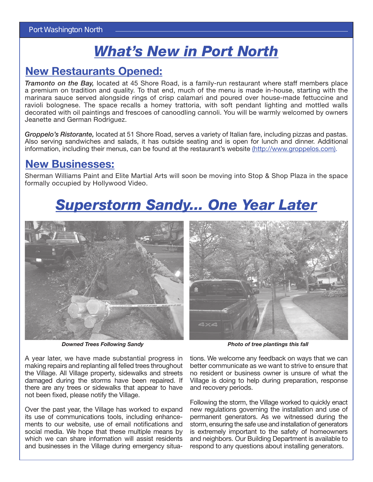### *What's New in Port North*

### New Restaurants Opened:

*Tramonto on the Bay,* located at 45 Shore Road, is a family-run restaurant where staff members place a premium on tradition and quality. To that end, much of the menu is made in-house, starting with the marinara sauce served alongside rings of crisp calamari and poured over house-made fettuccine and ravioli bolognese. The space recalls a homey trattoria, with soft pendant lighting and mottled walls decorated with oil paintings and frescoes of canoodling cannoli. You will be warmly welcomed by owners Jeanette and German Rodriguez.

*Groppelo's Ristorante,* located at 51 Shore Road, serves a variety of Italian fare, including pizzas and pastas. Also serving sandwiches and salads, it has outside seating and is open for lunch and dinner. Additional information, including their menus, can be found at the restaurant's website (http://www.groppelos.com).

#### New Businesses:

Sherman Williams Paint and Elite Martial Arts will soon be moving into Stop & Shop Plaza in the space formally occupied by Hollywood Video.

# *Superstorm Sandy... One Year Later*



*Downed Trees Following Sandy Photo of tree plantings this fall*



A year later, we have made substantial progress in making repairs and replanting all felled trees throughout the Village. All Village property, sidewalks and streets damaged during the storms have been repaired. If there are any trees or sidewalks that appear to have not been fixed, please notify the Village.

Over the past year, the Village has worked to expand its use of communications tools, including enhancements to our website, use of email notifications and social media. We hope that these multiple means by which we can share information will assist residents and businesses in the Village during emergency situa-

tions. We welcome any feedback on ways that we can better communicate as we want to strive to ensure that no resident or business owner is unsure of what the Village is doing to help during preparation, response and recovery periods.

Following the storm, the Village worked to quickly enact new regulations governing the installation and use of permanent generators. As we witnessed during the storm, ensuring the safe use and installation of generators is extremely important to the safety of homeowners and neighbors. Our Building Department is available to respond to any questions about installing generators.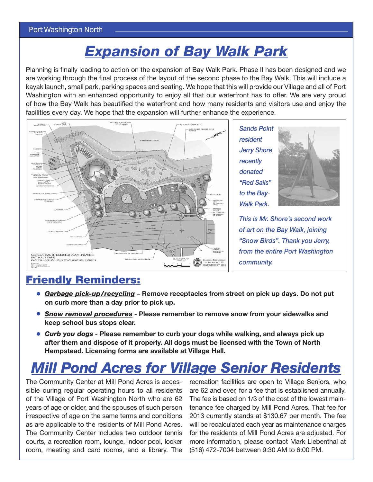## *Expansion of Bay Walk Park*

Planning is finally leading to action on the expansion of Bay Walk Park. Phase II has been designed and we are working through the final process of the layout of the second phase to the Bay Walk. This will include a kayak launch, small park, parking spaces and seating. We hope that this will provide our Village and all of Port Washington with an enhanced opportunity to enjoy all that our waterfront has to offer. We are very proud of how the Bay Walk has beautified the waterfront and how many residents and visitors use and enjoy the facilities every day. We hope that the expansion will further enhance the experience.



*Sands Point resident Jerry Shore recently donated "Red Sails" to the Bay-Walk Park.*



*This is Mr. Shore's second work of art on the Bay Walk, joining "Snow Birds". Thank you Jerry, from the entire Port Washington community.*

### Friendly Reminders:

- *Garbage pick-up/recycling* Remove receptacles from street on pick up days. Do not put **•** on curb more than a day prior to pick up.
- **•** Snow removal procedures Please remember to remove snow from your sidewalks and keep school bus stops clear.
- *Curb you dogs* Please remember to curb your dogs while walking, and always pick up **•** after them and dispose of it properly. All dogs must be licensed with the Town of North Hempstead. Licensing forms are available at Village Hall.

# *Mill Pond Acres for Village Senior Residents*

The Community Center at Mill Pond Acres is accessible during regular operating hours to all residents of the Village of Port Washington North who are 62 years of age or older, and the spouses of such person irrespective of age on the same terms and conditions as are applicable to the residents of Mill Pond Acres. The Community Center includes two outdoor tennis courts, a recreation room, lounge, indoor pool, locker room, meeting and card rooms, and a library. The

recreation facilities are open to Village Seniors, who are 62 and over, for a fee that is established annually. The fee is based on 1/3 of the cost of the lowest maintenance fee charged by Mill Pond Acres. That fee for 2013 currently stands at \$130.67 per month. The fee will be recalculated each year as maintenance charges for the residents of Mill Pond Acres are adjusted. For more information, please contact Mark Liebenthal at (516) 472-7004 between 9:30 AM to 6:00 PM.